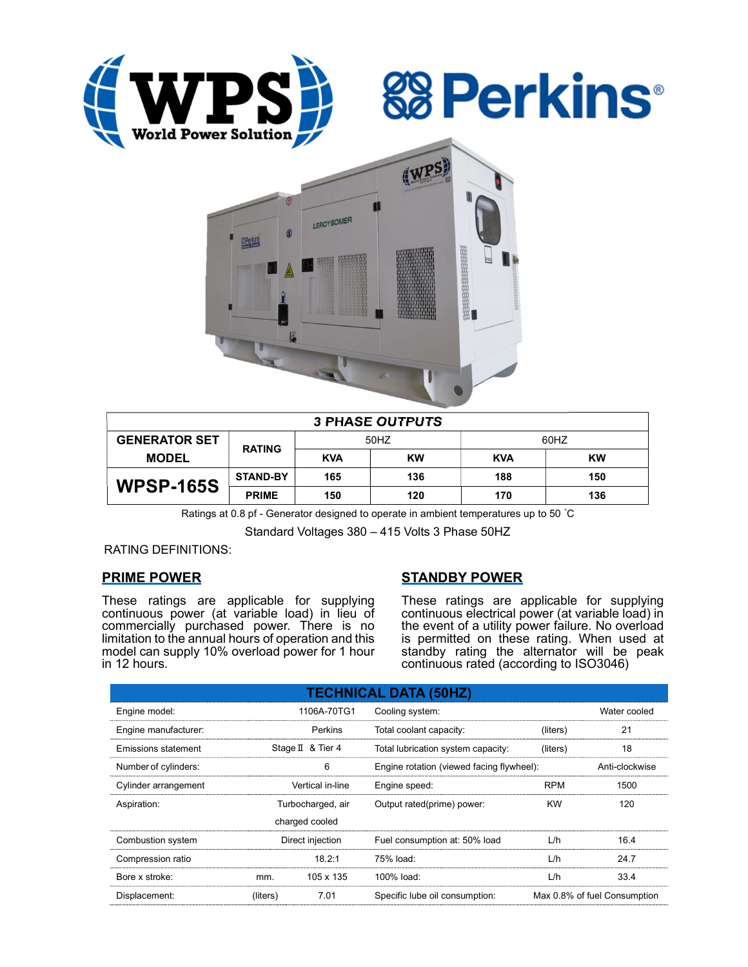





| <b>3 PHASE OUTPUTS</b> |                 |            |           |            |           |  |  |  |
|------------------------|-----------------|------------|-----------|------------|-----------|--|--|--|
| <b>GENERATOR SET</b>   | <b>RATING</b>   | 50HZ       |           | 60HZ       |           |  |  |  |
| <b>MODEL</b>           |                 | <b>KVA</b> | <b>KW</b> | <b>KVA</b> | <b>KW</b> |  |  |  |
| <b>WPSP-165S</b>       | <b>STAND-BY</b> | 165        | 136       | 188        | 150       |  |  |  |
|                        | <b>PRIME</b>    | 150        | 120       | 170        | 136       |  |  |  |

Ratings at 0.8 pf - Generator designed to operate in ambient temperatures up to 50 °C

Standard Voltages 380 – 415 Volts 3 Phase 50HZ

RATING DEFINITIONS:

# PRIME POWER

These ratings are applicable for supplying continuous power (at variable load) in lieu of commercially purchased power. There is no limitation to the annual hours of operation and this model can supply 10% overload power for 1 hour in 12 hours.

# STANDBY POWER

These ratings are applicable for supplying continuous electrical power (at variable load) in the event of a utility power failure. No overload is permitted on these rating. When used at standby rating the alternator will be peak continuous rated (according to ISO3046)

| <b>TECHNICAL DATA (50HZ)</b> |                   |                   |                                           |                              |              |  |  |  |  |  |
|------------------------------|-------------------|-------------------|-------------------------------------------|------------------------------|--------------|--|--|--|--|--|
| Engine model:                |                   | 1106A-70TG1       | Cooling system:                           |                              | Water cooled |  |  |  |  |  |
| Engine manufacturer:         |                   | Perkins           | Total coolant capacity:<br>(liters)       |                              | 21           |  |  |  |  |  |
| Emissions statement          |                   | Stage II & Tier 4 | Total lubrication system capacity:        | (liters)                     | 18           |  |  |  |  |  |
| Number of cylinders:         |                   | 6                 | Engine rotation (viewed facing flywheel): |                              |              |  |  |  |  |  |
| Cylinder arrangement         |                   | Vertical in-line  | Engine speed:                             | <b>RPM</b>                   | 1500         |  |  |  |  |  |
| Aspiration:                  | Turbocharged, air |                   | Output rated(prime) power:                | <b>KW</b>                    | 120          |  |  |  |  |  |
|                              |                   | charged cooled    |                                           |                              |              |  |  |  |  |  |
| Combustion system            | Direct injection  |                   | Fuel consumption at: 50% load             | L/h                          | 16.4         |  |  |  |  |  |
| Compression ratio            |                   | 18.2:1            | 75% load:                                 | L/h                          | 24.7         |  |  |  |  |  |
| Bore x stroke:               | mm.               | 105 x 135         | 100% load:                                | L/h                          | 33.4         |  |  |  |  |  |
| Displacement:                | (liters)          | 7.01              | Specific lube oil consumption:            | Max 0.8% of fuel Consumption |              |  |  |  |  |  |